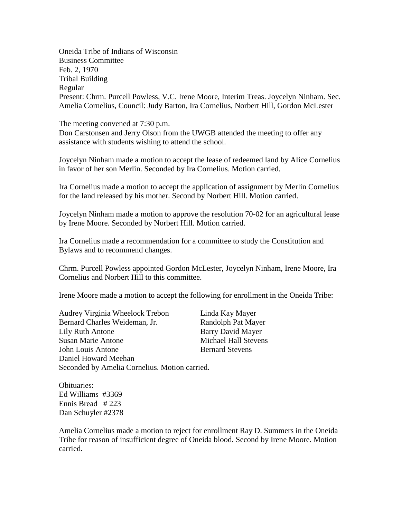Oneida Tribe of Indians of Wisconsin Business Committee Feb. 2, 1970 Tribal Building Regular Present: Chrm. Purcell Powless, V.C. Irene Moore, Interim Treas. Joycelyn Ninham. Sec. Amelia Cornelius, Council: Judy Barton, Ira Cornelius, Norbert Hill, Gordon McLester

The meeting convened at 7:30 p.m.

Don Carstonsen and Jerry Olson from the UWGB attended the meeting to offer any assistance with students wishing to attend the school.

Joycelyn Ninham made a motion to accept the lease of redeemed land by Alice Cornelius in favor of her son Merlin. Seconded by Ira Cornelius. Motion carried.

Ira Cornelius made a motion to accept the application of assignment by Merlin Cornelius for the land released by his mother. Second by Norbert Hill. Motion carried.

Joycelyn Ninham made a motion to approve the resolution 70-02 for an agricultural lease by Irene Moore. Seconded by Norbert Hill. Motion carried.

Ira Cornelius made a recommendation for a committee to study the Constitution and Bylaws and to recommend changes.

Chrm. Purcell Powless appointed Gordon McLester, Joycelyn Ninham, Irene Moore, Ira Cornelius and Norbert Hill to this committee.

Irene Moore made a motion to accept the following for enrollment in the Oneida Tribe:

Audrey Virginia Wheelock Trebon Linda Kay Mayer Bernard Charles Weideman, Jr. Randolph Pat Mayer Lily Ruth Antone Barry David Mayer Susan Marie Antone **Michael Hall Stevens** John Louis Antone Bernard Stevens Daniel Howard Meehan Seconded by Amelia Cornelius. Motion carried.

Obituaries: Ed Williams #3369 Ennis Bread # 223 Dan Schuyler #2378

Amelia Cornelius made a motion to reject for enrollment Ray D. Summers in the Oneida Tribe for reason of insufficient degree of Oneida blood. Second by Irene Moore. Motion carried.